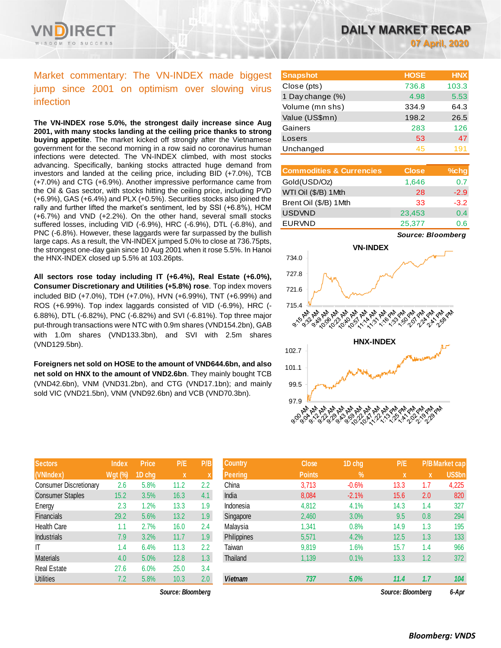

# Market commentary: The VN-INDEX made biggest jump since 2001 on optimism over slowing virus infection

**The VN-INDEX rose 5.0%, the strongest daily increase since Aug 2001, with many stocks landing at the ceiling price thanks to strong buying appetite**. The market kicked off strongly after the Vietnamese government for the second morning in a row said no coronavirus human infections were detected. The VN-INDEX climbed, with most stocks advancing. Specifically, banking stocks attracted huge demand from investors and landed at the ceiling price, including BID (+7.0%), TCB (+7.0%) and CTG (+6.9%). Another impressive performance came from the Oil & Gas sector, with stocks hitting the ceiling price, including PVD (+6.9%), GAS (+6.4%) and PLX (+0.5%). Securities stocks also joined the rally and further lifted the market's sentiment, led by SSI (+6.8%), HCM (+6.7%) and VND (+2.2%). On the other hand, several small stocks suffered losses, including VID (-6.9%), HRC (-6.9%), DTL (-6.8%), and PNC (-6.8%). However, these laggards were far surpassed by the bullish large caps. As a result, the VN-INDEX jumped 5.0% to close at 736.75pts, the strongest one-day gain since 10 Aug 2001 when it rose 5.5%. In Hanoi the HNX-INDEX closed up 5.5% at 103.26pts.

**All sectors rose today including IT (+6.4%), Real Estate (+6.0%), Consumer Discretionary and Utilities (+5.8%) rose**. Top index movers included BID (+7.0%), TDH (+7.0%), HVN (+6.99%), TNT (+6.99%) and ROS (+6.99%). Top index laggards consisted of VID (-6.9%), HRC (- 6.88%), DTL (-6.82%), PNC (-6.82%) and SVI (-6.81%). Top three major put-through transactions were NTC with 0.9m shares (VND154.2bn), GAB with 1.0m shares (VND133.3bn), and SVI with 2.5m shares (VND129.5bn).

**Foreigners net sold on HOSE to the amount of VND644.6bn, and also net sold on HNX to the amount of VND2.6bn**. They mainly bought TCB (VND42.6bn), VNM (VND31.2bn), and CTG (VND17.1bn); and mainly sold VIC (VND21.5bn), VNM (VND92.6bn) and VCB (VND70.3bn).

| <b>Sectors</b>                | <b>Index</b>   | <b>Price</b> | P/E         | P/B |
|-------------------------------|----------------|--------------|-------------|-----|
| (VNIndex)                     | <b>Wgt (%)</b> | 1D chg       | $\mathbf x$ | X   |
| <b>Consumer Discretionary</b> | 2.6            | 5.8%         | 11.2        | 2.2 |
| <b>Consumer Staples</b>       | 15.2           | 3.5%         | 16.3        | 4.1 |
| Energy                        | 2.3            | 1.2%         | 13.3        | 1.9 |
| Financials                    | 29.2           | 5.6%         | 13.2        | 1.9 |
| <b>Health Care</b>            | 1.1            | 2.7%         | 16.0        | 2.4 |
| <b>Industrials</b>            | 7.9            | 3.2%         | 11.7        | 1.9 |
| ıτ                            | 1.4            | 6.4%         | 11.3        | 2.2 |
| <b>Materials</b>              | 4.0            | 5.0%         | 12.8        | 1.3 |
| <b>Real Estate</b>            | 27.6           | 6.0%         | 25.0        | 3.4 |
| Utilities                     | 7.2            | 5.8%         | 10.3        | 2.0 |

 $Source: Bloomberg$ 

| <b>Snapshot</b>  | <b>HOSE</b> | <b>HNX</b> |
|------------------|-------------|------------|
| Close (pts)      | 736.8       | 103.3      |
| 1 Day change (%) | 4.98        | 5.53       |
| Volume (mn shs)  | 334.9       | 64.3       |
| Value (US\$mn)   | 198.2       | 26.5       |
| Gainers          | 283         | 126        |
| Losers           | 53          | 47         |
| Unchanged        | 45          | 191        |

| <b>Commodities &amp; Currencies</b> | <b>Close</b> | $%$ chg |
|-------------------------------------|--------------|---------|
| Gold(USD/Oz)                        | 1,646        | 0.7     |
| WTI Oil (\$/B) 1 Mth                | 28           | $-2.9$  |
| Brent Oil (\$/B) 1Mth               | 33           | $-3.2$  |
| <b>USDVND</b>                       | 23,453       | 0.4     |
| <b>EURVND</b>                       | 25,377       | 0.6     |

*Source: Bloomberg*



| <b>Sectors</b>          | <b>Index</b>   | <b>Price</b> | P/E               | P/B | <b>Country</b>     | <b>Close</b>  | 1D chg        | P/E               |     | <b>P/B Market cap</b> |
|-------------------------|----------------|--------------|-------------------|-----|--------------------|---------------|---------------|-------------------|-----|-----------------------|
| (VNIndex)               | <b>Wgt (%)</b> | 1D cha       | $\mathbf{x}$      |     | <b>Peering</b>     | <b>Points</b> | $\frac{9}{6}$ | <b>X</b>          | X   | <b>US\$bn</b>         |
| Consumer Discretionary  | 2.6            | 5.8%         | 11.2              | 2.2 | China              | 3,713         | $-0.6%$       | 13.3              | 1.7 | 4,225                 |
| <b>Consumer Staples</b> | 15.2           | 3.5%         | 16.3              | 4.1 | India              | 8,084         | $-2.1%$       | 15.6              | 2.0 | 820                   |
| Energy                  | 2.3            | 1.2%         | 13.3              | 1.9 | Indonesia          | 4,812         | 4.1%          | 14.3              | 1.4 | 327                   |
| <b>Financials</b>       | 29.2           | 5.6%         | 13.2              | 1.9 | Singapore          | 2,460         | 3.0%          | 9.5               | 0.8 | 294                   |
| Health Care             | 1.1            | 2.7%         | 16.0              | 2.4 | Malaysia           | 1,341         | 0.8%          | 14.9              | 1.3 | 195                   |
| <b>Industrials</b>      | 7.9            | 3.2%         | 11.7              | 1.9 | <b>Philippines</b> | 5,571         | 4.2%          | 12.5              | 1.3 | 133                   |
| ΙT                      | 1.4            | 6.4%         | 11.3              | 2.2 | Taiwan             | 9,819         | 1.6%          | 15.7              | 1.4 | 966                   |
| Materials               | 4.0            | 5.0%         | 12.8              | 1.3 | Thailand           | 1,139         | 0.1%          | 13.3              | 1.2 | 372                   |
| Real Estate             | 27.6           | 6.0%         | 25.0              | 3.4 |                    |               |               |                   |     |                       |
| <b>Utilities</b>        | 7.2            | 5.8%         | 10.3              | 2.0 | <b>Vietnam</b>     | 737           | 5.0%          | 11.4              | 1.7 | 104                   |
|                         |                |              | Source: Bloomberg |     |                    |               |               | Source: Bloomberg |     | 6-Apr                 |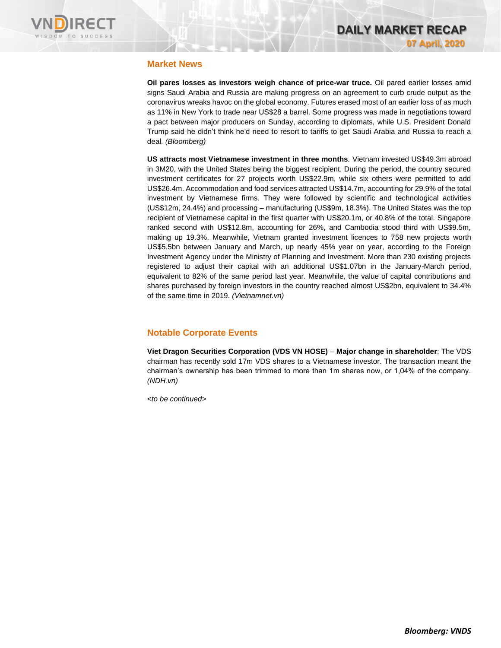

### **Market News**

**Oil pares losses as investors weigh chance of price-war truce.** Oil pared earlier losses amid signs Saudi Arabia and Russia are making progress on an agreement to curb crude output as the coronavirus wreaks havoc on the global economy. Futures erased most of an earlier loss of as much as 11% in New York to trade near US\$28 a barrel. Some progress was made in negotiations toward a pact between major producers on Sunday, according to diplomats, while U.S. President Donald Trump said he didn't think he'd need to resort to tariffs to get Saudi Arabia and Russia to reach a deal*. (Bloomberg)*

**US attracts most Vietnamese investment in three months***.* Vietnam invested US\$49.3m abroad in 3M20, with the United States being the biggest recipient. During the period, the country secured investment certificates for 27 projects worth US\$22.9m, while six others were permitted to add US\$26.4m. Accommodation and food services attracted US\$14.7m, accounting for 29.9% of the total investment by Vietnamese firms. They were followed by scientific and technological activities (US\$12m, 24.4%) and processing – manufacturing (US\$9m, 18.3%). The United States was the top recipient of Vietnamese capital in the first quarter with US\$20.1m, or 40.8% of the total. Singapore ranked second with US\$12.8m, accounting for 26%, and Cambodia stood third with US\$9.5m, making up 19.3%. Meanwhile, Vietnam granted investment licences to 758 new projects worth US\$5.5bn between January and March, up nearly 45% year on year, according to the Foreign Investment Agency under the Ministry of Planning and Investment. More than 230 existing projects registered to adjust their capital with an additional US\$1.07bn in the January-March period, equivalent to 82% of the same period last year. Meanwhile, the value of capital contributions and shares purchased by foreign investors in the country reached almost US\$2bn, equivalent to 34.4% of the same time in 2019. *(Vietnamnet.vn)*

### **Notable Corporate Events**

**Viet Dragon Securities Corporation (VDS VN HOSE)** – **Major change in shareholder**: The VDS chairman has recently sold 17m VDS shares to a Vietnamese investor. The transaction meant the chairman's ownership has been trimmed to more than 1m shares now, or 1,04% of the company. *(NDH.vn)*

*<to be continued>*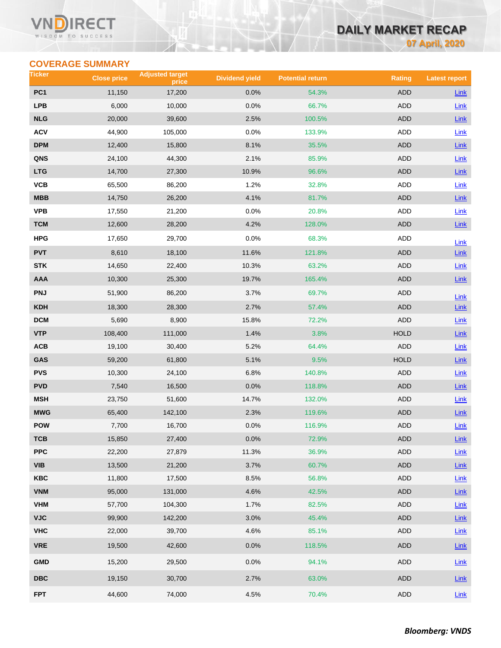#### Vľ ECT WISDOM TO SUCCESS

# **DAILY MARKET RECAP 07 April, 2020**

**COVERAGE SUMMARY**

| Ticker                                      | <b>Close price</b> | <b>Adjusted target</b><br>price | <b>Dividend yield</b> | <b>Potential return</b> | Rating      | <b>Latest report</b> |
|---------------------------------------------|--------------------|---------------------------------|-----------------------|-------------------------|-------------|----------------------|
| PC <sub>1</sub>                             | 11,150             | 17,200                          | 0.0%                  | 54.3%                   | <b>ADD</b>  | Link                 |
| <b>LPB</b>                                  | 6,000              | 10,000                          | 0.0%                  | 66.7%                   | <b>ADD</b>  | Link                 |
| <b>NLG</b>                                  | 20,000             | 39,600                          | 2.5%                  | 100.5%                  | <b>ADD</b>  | <b>Link</b>          |
| <b>ACV</b>                                  | 44,900             | 105,000                         | 0.0%                  | 133.9%                  | ADD         | Link                 |
| <b>DPM</b>                                  | 12,400             | 15,800                          | 8.1%                  | 35.5%                   | <b>ADD</b>  | Link                 |
| QNS                                         | 24,100             | 44,300                          | 2.1%                  | 85.9%                   | <b>ADD</b>  | Link                 |
| <b>LTG</b>                                  | 14,700             | 27,300                          | 10.9%                 | 96.6%                   | <b>ADD</b>  | Link                 |
| <b>VCB</b>                                  | 65,500             | 86,200                          | 1.2%                  | 32.8%                   | ADD         | Link                 |
| <b>MBB</b>                                  | 14,750             | 26,200                          | 4.1%                  | 81.7%                   | <b>ADD</b>  | Link                 |
| <b>VPB</b>                                  | 17,550             | 21,200                          | 0.0%                  | 20.8%                   | ADD         | Link                 |
| <b>TCM</b>                                  | 12,600             | 28,200                          | 4.2%                  | 128.0%                  | <b>ADD</b>  | <b>Link</b>          |
| <b>HPG</b>                                  | 17,650             | 29,700                          | 0.0%                  | 68.3%                   | ADD         | Link                 |
| <b>PVT</b>                                  | 8,610              | 18,100                          | 11.6%                 | 121.8%                  | <b>ADD</b>  | <b>Link</b>          |
| <b>STK</b>                                  | 14,650             | 22,400                          | 10.3%                 | 63.2%                   | <b>ADD</b>  | <b>Link</b>          |
| <b>AAA</b>                                  | 10,300             | 25,300                          | 19.7%                 | 165.4%                  | ADD         | Link                 |
| <b>PNJ</b>                                  | 51,900             | 86,200                          | 3.7%                  | 69.7%                   | ADD         | Link                 |
| <b>KDH</b>                                  | 18,300             | 28,300                          | 2.7%                  | 57.4%                   | <b>ADD</b>  | Link                 |
| <b>DCM</b>                                  | 5,690              | 8,900                           | 15.8%                 | 72.2%                   | <b>ADD</b>  | Link                 |
| <b>VTP</b>                                  | 108,400            | 111,000                         | 1.4%                  | 3.8%                    | <b>HOLD</b> | Link                 |
| ACB                                         | 19,100             | 30,400                          | 5.2%                  | 64.4%                   | ADD         | Link                 |
| GAS                                         | 59,200             | 61,800                          | 5.1%                  | 9.5%                    | <b>HOLD</b> | Link                 |
| <b>PVS</b>                                  | 10,300             | 24,100                          | 6.8%                  | 140.8%                  | ADD         | <b>Link</b>          |
| <b>PVD</b>                                  | 7,540              | 16,500                          | 0.0%                  | 118.8%                  | <b>ADD</b>  | Link                 |
| <b>MSH</b>                                  | 23,750             | 51,600                          | 14.7%                 | 132.0%                  | ADD         | Link                 |
| <b>MWG</b>                                  | 65,400             | 142,100                         | 2.3%                  | 119.6%                  | <b>ADD</b>  | <b>Link</b>          |
| <b>POW</b>                                  | 7,700              | 16,700                          | 0.0%                  | 116.9%                  | <b>ADD</b>  | Link                 |
| <b>TCB</b>                                  | 15,850             | 27,400                          | 0.0%                  | 72.9%                   | ADD         | $Link$               |
| <b>PPC</b>                                  | 22,200             | 27,879                          | 11.3%                 | 36.9%                   | ADD         | Link                 |
| <b>VIB</b>                                  | 13,500             | 21,200                          | 3.7%                  | 60.7%                   | ADD         | Link                 |
| <b>KBC</b>                                  | 11,800             | 17,500                          | 8.5%                  | 56.8%                   | <b>ADD</b>  | Link                 |
| <b>VNM</b>                                  | 95,000             | 131,000                         | 4.6%                  | 42.5%                   | ADD         | Link                 |
| <b>VHM</b>                                  | 57,700             | 104,300                         | 1.7%                  | 82.5%                   | ADD         | Link                 |
| <b>VJC</b>                                  | 99,900             | 142,200                         | 3.0%                  | 45.4%                   | ADD         | $Link$               |
| <b>VHC</b>                                  | 22,000             | 39,700                          | 4.6%                  | 85.1%                   | ADD         | Link                 |
| <b>VRE</b>                                  | 19,500             | 42,600                          | 0.0%                  | 118.5%                  | <b>ADD</b>  | $Link$               |
| <b>GMD</b>                                  | 15,200             | 29,500                          | 0.0%                  | 94.1%                   | ADD         | Link                 |
| $\overline{\mathsf{D}\mathsf{B}\mathsf{C}}$ | 19,150             | 30,700                          | 2.7%                  | 63.0%                   | ADD         | $Link$               |
| <b>FPT</b>                                  | 44,600             | 74,000                          | 4.5%                  | 70.4%                   | ADD         | $Link$               |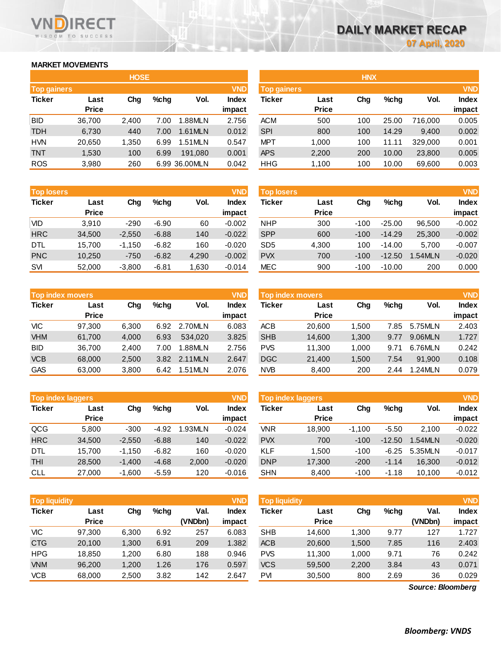### **MARKET MOVEMENTS**

WISDOM TO SUCCESS

**RECT** 

VND

| <b>HOSE</b>        |              |       |      |               |              |  |  |  |  |
|--------------------|--------------|-------|------|---------------|--------------|--|--|--|--|
| <b>Top gainers</b> |              |       |      |               | <b>VND</b>   |  |  |  |  |
| <b>Ticker</b>      | Last         | Cha   | %chq | Vol.          | <b>Index</b> |  |  |  |  |
|                    | <b>Price</b> |       |      |               | impact       |  |  |  |  |
| <b>BID</b>         | 36,700       | 2,400 | 7.00 | 1.88MLN       | 2.756        |  |  |  |  |
| TDH                | 6,730        | 440   | 7.00 | 1.61MLN       | 0.012        |  |  |  |  |
| <b>HVN</b>         | 20,650       | 1,350 | 6.99 | 1.51MLN       | 0.547        |  |  |  |  |
| TNT                | 1,530        | 100   | 6.99 | 191.080       | 0.001        |  |  |  |  |
| <b>ROS</b>         | 3,980        | 260   |      | 6.99 36.00MLN | 0.042        |  |  |  |  |

| <b>Top losers</b> |              |          |         |       | <b>VND</b>   |
|-------------------|--------------|----------|---------|-------|--------------|
| <b>Ticker</b>     | Last         | Cha      | %chq    | Vol.  | <b>Index</b> |
|                   | <b>Price</b> |          |         |       | impact       |
| VID               | 3.910        | $-290$   | $-6.90$ | 60    | $-0.002$     |
| <b>HRC</b>        | 34,500       | $-2,550$ | $-6.88$ | 140   | $-0.022$     |
| DTL               | 15,700       | $-1,150$ | $-6.82$ | 160   | $-0.020$     |
| <b>PNC</b>        | 10,250       | $-750$   | $-6.82$ | 4,290 | $-0.002$     |
| <b>SVI</b>        | 52.000       | $-3,800$ | $-6.81$ | 1,630 | $-0.014$     |

|               | <b>Top index movers</b> |       |      |         |              |  |  |  |  |
|---------------|-------------------------|-------|------|---------|--------------|--|--|--|--|
| <b>Ticker</b> | Last                    | Cha   | %chq | Vol.    | <b>Index</b> |  |  |  |  |
|               | <b>Price</b>            |       |      |         | impact       |  |  |  |  |
| <b>VIC</b>    | 97,300                  | 6,300 | 6.92 | 2.70MLN | 6.083        |  |  |  |  |
| <b>VHM</b>    | 61,700                  | 4,000 | 6.93 | 534.020 | 3.825        |  |  |  |  |
| <b>BID</b>    | 36,700                  | 2,400 | 7.00 | 1.88MLN | 2.756        |  |  |  |  |
| <b>VCB</b>    | 68,000                  | 2,500 | 3.82 | 2.11MLN | 2.647        |  |  |  |  |
| <b>GAS</b>    | 63,000                  | 3,800 | 6.42 | 1.51MLN | 2.076        |  |  |  |  |

| <b>Top index laggers</b> |              |          |         |         |              |  |  |  |  |
|--------------------------|--------------|----------|---------|---------|--------------|--|--|--|--|
| <b>Ticker</b>            | Last         | Cha      | %chq    | Vol.    | <b>Index</b> |  |  |  |  |
|                          | <b>Price</b> |          |         |         | impact       |  |  |  |  |
| QCG                      | 5,800        | $-300$   | $-4.92$ | 1.93MLN | $-0.024$     |  |  |  |  |
| <b>HRC</b>               | 34,500       | $-2,550$ | $-6.88$ | 140     | $-0.022$     |  |  |  |  |
| DTL                      | 15,700       | $-1,150$ | $-6.82$ | 160     | $-0.020$     |  |  |  |  |
| THI                      | 28,500       | $-1,400$ | $-4.68$ | 2,000   | $-0.020$     |  |  |  |  |
| CLL                      | 27,000       | $-1.600$ | $-5.59$ | 120     | $-0.016$     |  |  |  |  |

| <b>VND</b><br><b>Top liquidity</b> |              |       |      |         |              |  |  |  |  |
|------------------------------------|--------------|-------|------|---------|--------------|--|--|--|--|
| <b>Ticker</b>                      | Last         | Cha   | %chq | Val.    | <b>Index</b> |  |  |  |  |
|                                    | <b>Price</b> |       |      | (VNDbn) | impact       |  |  |  |  |
| VIC                                | 97,300       | 6,300 | 6.92 | 257     | 6.083        |  |  |  |  |
| <b>CTG</b>                         | 20,100       | 1,300 | 6.91 | 209     | 1.382        |  |  |  |  |
| <b>HPG</b>                         | 18,850       | 1,200 | 6.80 | 188     | 0.946        |  |  |  |  |
| <b>VNM</b>                         | 96.200       | 1,200 | 1.26 | 176     | 0.597        |  |  |  |  |
| VCB                                | 68.000       | 2,500 | 3.82 | 142     | 2.647        |  |  |  |  |

|                    |              | <b>HOSE</b> |         |               |              |                    |              | <b>HNX</b> |       |         |            |
|--------------------|--------------|-------------|---------|---------------|--------------|--------------------|--------------|------------|-------|---------|------------|
| <b>Top gainers</b> |              |             |         |               | <b>VND</b>   | <b>Top gainers</b> |              |            |       |         | <b>VND</b> |
| Ticker             | Last         | Chg         | $%$ chg | Vol.          | <b>Index</b> | Ticker             | Last         | Chg        | %chq  | Vol.    | Index      |
|                    | <b>Price</b> |             |         |               | impact       |                    | <b>Price</b> |            |       |         | impact     |
| BID                | 36,700       | 2,400       | 7.00    | 1.88MLN       | 2.756        | <b>ACM</b>         | 500          | 100        | 25.00 | 716.000 | 0.005      |
| <b>TDH</b>         | 6,730        | 440         | 7.00    | 1.61MLN       | 0.012        | <b>SPI</b>         | 800          | 100        | 14.29 | 9.400   | 0.002      |
| HVN                | 20,650       | 1,350       | 6.99    | 1.51MLN       | 0.547        | <b>MPT</b>         | 1.000        | 100        | 11.11 | 329,000 | 0.001      |
| <b>TNT</b>         | 1,530        | 100         | 6.99    | 191.080       | 0.001        | <b>APS</b>         | 2,200        | 200        | 10.00 | 23,800  | 0.005      |
| <b>ROS</b>         | 3,980        | 260         |         | 6.99 36.00MLN | 0.042        | <b>HHG</b>         | 1,100        | 100        | 10.00 | 69,600  | 0.003      |
|                    |              |             |         |               |              |                    |              |            |       |         |            |

| <b>Top losers</b> |              |          |         |       | <b>VND</b> | <b>Top losers</b> |              |        |          |               | <b>VND</b>   |
|-------------------|--------------|----------|---------|-------|------------|-------------------|--------------|--------|----------|---------------|--------------|
| Ticker            | Last         | Chg      | $%$ chg | Vol.  | Index      | Ticker            | Last         | Chg    | %chg     | Vol.          | <b>Index</b> |
|                   | <b>Price</b> |          |         |       | impact     |                   | <b>Price</b> |        |          |               | impact       |
| Vid               | 3.910        | $-290$   | $-6.90$ | 60    | $-0.002$   | <b>NHP</b>        | 300          | $-100$ | $-25.00$ | 96.500        | $-0.002$     |
| <b>HRC</b>        | 34,500       | $-2,550$ | $-6.88$ | 140   | $-0.022$   | <b>SPP</b>        | 600          | $-100$ | $-14.29$ | 25,300        | $-0.002$     |
| DTL               | 15,700       | $-1,150$ | $-6.82$ | 160   | $-0.020$   | SD <sub>5</sub>   | 4,300        | 100    | $-14.00$ | 5.700         | $-0.007$     |
| <b>PNC</b>        | 10,250       | $-750$   | $-6.82$ | 4,290 | $-0.002$   | <b>PVX</b>        | 700          | $-100$ | $-12.50$ | <b>.54MLN</b> | $-0.020$     |
| <b>SVI</b>        | 52,000       | $-3,800$ | $-6.81$ | .630  | $-0.014$   | MEC               | 900          | $-100$ | $-10.00$ | 200           | 0.000        |

| <b>Top index movers</b> |              |       |      |         | <b>VND</b>   | Top index movers |              | <b>VND</b> |         |         |              |
|-------------------------|--------------|-------|------|---------|--------------|------------------|--------------|------------|---------|---------|--------------|
| Ticker                  | Last         | Chg   | %chq | Vol.    | <b>Index</b> | Ticker           | Last         | Chg        | $%$ chg | Vol.    | <b>Index</b> |
|                         | <b>Price</b> |       |      |         | impact       |                  | <b>Price</b> |            |         |         | impact       |
| VIC                     | 97.300       | 6,300 | 6.92 | 2.70MLN | 6.083        | <b>ACB</b>       | 20,600       | 1.500      | 7.85    | 5.75MLN | 2.403        |
| <b>VHM</b>              | 61.700       | 4.000 | 6.93 | 534.020 | 3.825        | <b>SHB</b>       | 14.600       | 1.300      | 9.77    | 9.06MLN | 1.727        |
| BID                     | 36.700       | 2.400 | 7.00 | 1.88MLN | 2.756        | <b>PVS</b>       | 11.300       | 1.000      | 9.71    | 6.76MLN | 0.242        |
| <b>VCB</b>              | 68,000       | 2.500 | 3.82 | 2.11MLN | 2.647        | <b>DGC</b>       | 21,400       | 1.500      | 7.54    | 91.900  | 0.108        |
| GAS                     | 63,000       | 3,800 | 6.42 | 1.51MLN | 2.076        | <b>NVB</b>       | 8,400        | 200        | 2.44    | 1.24MLN | 0.079        |
|                         |              |       |      |         |              |                  |              |            |         |         |              |

| <b>Top index laggers</b> |              |          |         |         | <b>VND</b> | Top index laggers |              |          |          |               | <b>VND</b>   |
|--------------------------|--------------|----------|---------|---------|------------|-------------------|--------------|----------|----------|---------------|--------------|
| Ticker                   | Last         | Chg      | $%$ chg | Vol.    | Index      | Ticker            | Last         | Chg      | %chq     | Vol.          | <b>Index</b> |
|                          | <b>Price</b> |          |         |         | impact     |                   | <b>Price</b> |          |          |               | impact       |
| QCG                      | 5.800        | $-300$   | $-4.92$ | 1.93MLN | $-0.024$   | VNR               | 18.900       | $-1.100$ | $-5.50$  | 2.100         | $-0.022$     |
| <b>HRC</b>               | 34,500       | $-2.550$ | $-6.88$ | 140     | $-0.022$   | <b>PVX</b>        | 700          | $-100$   | $-12.50$ | <b>.54MLN</b> | $-0.020$     |
| DTL                      | 15.700       | $-1.150$ | $-6.82$ | 160     | $-0.020$   | <b>KLF</b>        | 1.500        | $-100$   | $-6.25$  | 5.35MLN       | $-0.017$     |
| THI                      | 28,500       | $-1,400$ | $-4.68$ | 2,000   | $-0.020$   | <b>DNP</b>        | 17,300       | $-200$   | $-1.14$  | 16.300        | $-0.012$     |
| CLL                      | 27,000       | $-1.600$ | $-5.59$ | 120     | $-0.016$   | <b>SHN</b>        | 8.400        | $-100$   | $-1.18$  | 10.100        | $-0.012$     |

| <b>Top liquidity</b> |                      |       |         |                 | <b>VND</b>             | <b>Top liquidity</b> |                      |       |         |                   | <b>VND</b>             |
|----------------------|----------------------|-------|---------|-----------------|------------------------|----------------------|----------------------|-------|---------|-------------------|------------------------|
| Ticker               | Last<br><b>Price</b> | Chg   | $%$ chg | Val.<br>(VNDbn) | <b>Index</b><br>impact | Ticker               | Last<br><b>Price</b> | Chg   | $%$ chg | Val.<br>(VNDbn)   | <b>Index</b><br>impact |
| VIC                  | 97,300               | 6,300 | 6.92    | 257             | 6.083                  | <b>SHB</b>           | 14,600               | 1,300 | 9.77    | 127               | 1.727                  |
| <b>CTG</b>           | 20.100               | 1.300 | 6.91    | 209             | 1.382                  | <b>ACB</b>           | 20,600               | 1,500 | 7.85    | 116               | 2.403                  |
| HPG                  | 18.850               | 1.200 | 6.80    | 188             | 0.946                  | <b>PVS</b>           | 11,300               | 1,000 | 9.71    | 76                | 0.242                  |
| <b>VNM</b>           | 96.200               | 1.200 | 1.26    | 176             | 0.597                  | <b>VCS</b>           | 59,500               | 2,200 | 3.84    | 43                | 0.071                  |
| VCB                  | 68,000               | 2,500 | 3.82    | 142             | 2.647                  | PVI                  | 30,500               | 800   | 2.69    | 36                | 0.029                  |
|                      |                      |       |         |                 |                        |                      |                      |       |         | Source: Bloomberg |                        |

*Source: Bloomberg*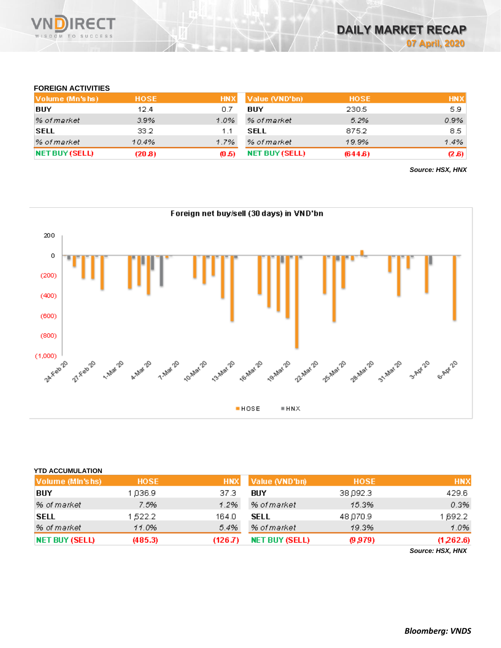

### **FOREIGN ACTIVITIES**

| Volume (Mn'shs)       | <b>HOSE</b> |       | HNX Value (VND'bn) | <b>HOSE</b> | <b>HNX</b> |
|-----------------------|-------------|-------|--------------------|-------------|------------|
| BUY                   | 12.4        | 0.7   | BUY                | 230.5       | 5.9        |
| % of market           | 3.9%        | 1.0%  | % of market        | 5.2%        | 0.9%       |
| <b>SELL</b>           | 33.2        | 1.1   | SELL               | 875.2       | 8.5        |
| % of market           | 10.4%       | 1.7%  | % of market        | 19.9%       | $1.4\%$    |
| <b>NET BUY (SELL)</b> | (20.8)      | (0.5) | NET BUY (SELL)     | (644.6)     | (2.6)      |

*Source: HSX, HNX*



| <b>YTD ACCUMULATION</b> |             |            |                       |             |                  |
|-------------------------|-------------|------------|-----------------------|-------------|------------------|
| Volume (MIn's hs)       | <b>HOSE</b> | <b>HNX</b> | Value (VND'bn)        | <b>HOSE</b> | <b>HNX</b>       |
| BUY                     | 036.9       | 37.3       | BUY                   | 38,092.3    | 429.6            |
| % of market             | 7.5%        | 1.2%       | % of market           | 15.3%       | 0.3%             |
| <b>SELL</b>             | 522.2       | 164.0      | <b>SELL</b>           | 48,070.9    | 1,692.2          |
| % of market             | 11.0%       | 5.4%       | % of market           | 19.3%       | 1.0%             |
| <b>NET BUY (SELL)</b>   | (485.3)     | (126.7)    | <b>NET BUY (SELL)</b> | (9,979)     | (1,262.6)        |
|                         |             |            |                       |             | Source: HSX, HNX |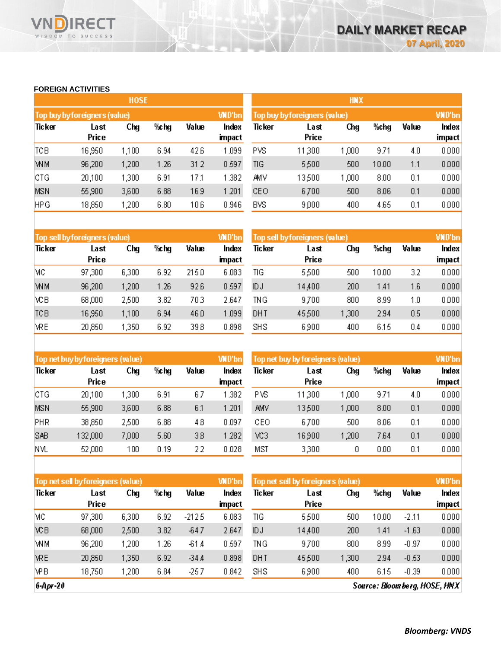#### **FOREIGN ACTIVITIES**

WISDOM TO SUCCESS

Vľ

RECT

|            |                               | <b>HOSE</b> |      |       |                 | <b>HNX</b>                    |               |               |      |       |                 |  |
|------------|-------------------------------|-------------|------|-------|-----------------|-------------------------------|---------------|---------------|------|-------|-----------------|--|
|            | Top buy by foreigners (value) |             |      |       | <b>WD'bn</b>    | Top buy by foreigners (value) |               | <b>VND'bn</b> |      |       |                 |  |
| Ticker     | Last<br>Price                 | Chg         | %chg | Value | Index<br>impact | Ticker                        | Last<br>Price | Chg           | %chg | Value | Index<br>impact |  |
| TCB        | 16,950                        | 1,100       | 6.94 | 426   | 1.099           | PVS                           | 11,300        | 1,000         | 9.71 | 4.0   | 0.000           |  |
| <b>WM</b>  | 96,200                        | 1,200       | 1.26 | 312   | 0.597           | TIG                           | 5,500         | 500           | 1000 | 1.1   | 0.000           |  |
| CTG        | 20,100                        | 1,300       | 6.91 | 17.1  | 1.382           | AMV                           | 13,500        | 1,000         | 8.00 | 0.1   | 0.000           |  |
| <b>MSN</b> | 55,900                        | 3,600       | 6.88 | 16.9  | 1.201           | CEO                           | 6,700         | 500           | 8.06 | 0.1   | 0.000           |  |
| <b>HPG</b> | 18,850                        | 1,200       | 6.80 | 106   | 0.946           | <b>BVS</b>                    | 9,000         | 400           | 465  | 0.1   | 0.000           |  |

| Top sell by foreigners (value) |        |       |      |       | <b>WD'bn</b>  | Top sell by foreigners (value) | <b>VND'bn</b> |      |      |       |        |
|--------------------------------|--------|-------|------|-------|---------------|--------------------------------|---------------|------|------|-------|--------|
| Ticker                         | Last   | Chg   | %chg | Value | Index         | Ticker                         | Last          | Chg  | %chq | Value | Index  |
|                                | Price  |       |      |       | <b>impact</b> |                                | Price         |      |      |       | impact |
| МC                             | 97,300 | 6,300 | 6.92 | 215.0 | 6.083         | TIG                            | 5,500         | 500  | 1000 | 3.2   | 0.000  |
| <b>WM</b>                      | 96,200 | 1,200 | 1.26 | 926   | 0.597         | ЮJ                             | 14,400        | 200  | 1.41 | 1.6   | 0.000  |
| ΧCΒ                            | 68,000 | 2,500 | 3.82 | 703   | 2.647         | ΙNG                            | 9,700         | 800  | 899  | 1.0   | 0.000  |
| <b>TCB</b>                     | 16,950 | 1,100 | 6.94 | 46.0  | 1.099         | DHT                            | 45,500        | ,300 | 294  | 0.5   | 0.000  |
| <b>VRE</b>                     | 20,850 | 1,350 | 6.92 | 398   | 0.898         | <b>SHS</b>                     | 6,900         | 400  | 6.15 | 0.4   | 0.000  |

|            | Top net buy by foreigners (value) |       |      |       | <b>WD'bn</b>  | Top net buy by foreigners (value) |               | <b>VND'bn</b> |      |       |        |
|------------|-----------------------------------|-------|------|-------|---------------|-----------------------------------|---------------|---------------|------|-------|--------|
| Ticker     | Last<br>Price                     | Chg   | %chg | Value | Index         | Ticker                            | Last<br>Price | Chg           | %chg | Value | Index  |
|            |                                   |       |      |       | <b>impact</b> |                                   |               |               |      |       | impact |
| CTG        | 20,100                            | 1,300 | 6.91 | 67    | .382          | PVS                               | 11,300        | 1,000         | 9.71 | 4.0   | 0.000  |
| <b>MSN</b> | 55,900                            | 3,600 | 6.88 | 6.1   | .201          | AMV                               | 13,500        | 000, ا        | 8.00 | 0.1   | 0.000  |
| PHR        | 38,850                            | 2,500 | 6.88 | 48    | 0.097         | CЕO                               | 6,700         | 500           | 8.06 | 0.1   | 0.000  |
| <b>SAB</b> | 132,000                           | 7,000 | 5.60 | 3.8   | 1.282         | VC3                               | 16,900        | ,200          | 764  | 0.1   | 0.000  |
| NVL        | 52,000                            | 100   | 0.19 | 22    | 0.028         | MST                               | 3,300         | 0             | 0.00 | 0.1   | 0.000  |

| Top net sell by foreigners (value) |              |       |      |         | <b>WD'bn</b> | Top net sell by foreigners (value) |        | <b>VND'bn</b> |       |         |        |
|------------------------------------|--------------|-------|------|---------|--------------|------------------------------------|--------|---------------|-------|---------|--------|
| Ticker                             | Last         | Chg   | %chg | Value   | Index        | Ticker                             | Last   | Chg           | %chg  | Value   | Index  |
|                                    | <b>Price</b> |       |      |         | impact       |                                    | Price  |               |       |         | impact |
| MC                                 | 97,300       | 6,300 | 6.92 | -212.5  | 6.083        | TIG                                | 5,500  | 500           | 10.00 | $-2.11$ | 0.000  |
| <b>VCB</b>                         | 68,000       | 2,500 | 3.82 | $-64.7$ | 2.647        | ЮJ                                 | 14,400 | 200           | 1.41  | $-1.63$ | 0.000  |
| WM                                 | 96,200       | ,200  | 1.26 | $-61.4$ | 0.597        | TNG                                | 9,700  | 800           | 899   | $-0.97$ | 0.000  |
| <b>WRE</b>                         | 20,850       | 1,350 | 6.92 | $-34A$  | 0.898        | DHT                                | 45,500 | ,300          | 294   | $-0.53$ | 0.000  |
| <b>VPB</b>                         | 18,750       | ,200  | 6.84 | $-25.7$ | 0.842        | <b>SHS</b>                         | 6,900  | 400           | 6.15  | $-0.39$ | 0.000  |

 $6-Apr-20$ 

Source: Bloomberg, HOSE, HNX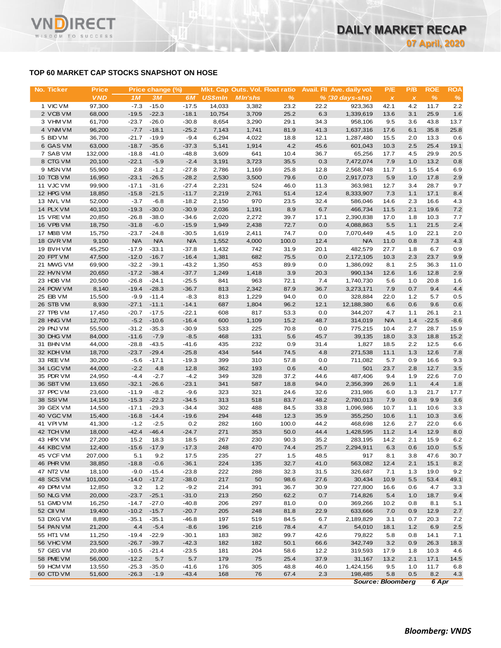## **TOP 60 MARKET CAP STOCKS SNAPSHOT ON HOSE**

**RECT** 

WISDOM TO SUCCESS

VN

| No. Ticker             | <b>Price</b>     |                    | Price change (%)   |                    |                | Mkt. Cap Outs. Vol. Float ratio |              |              | Avail. Fil Ave. daily vol. | P/E                       | P/B          | <b>ROE</b>   | <b>ROA</b> |
|------------------------|------------------|--------------------|--------------------|--------------------|----------------|---------------------------------|--------------|--------------|----------------------------|---------------------------|--------------|--------------|------------|
|                        | <b>VND</b>       | 1M                 | 3M                 | 6M                 | <b>US\$mln</b> | <b>MIn'shs</b>                  | $\%$         |              | $% (30 days-shs)$          | $\boldsymbol{\mathsf{x}}$ | $\pmb{\chi}$ | $\%$         | %          |
| 1 VIC VM               | 97,300           | $-7.3$             | $-15.0$            | $-17.5$            | 14,033         | 3,382                           | 23.2         | 22.2         | 923,363                    | 42.1                      | 4.2          | 11.7         | 2.2        |
| 2 VCB VM               | 68,000           | $-19.5$            | $-22.3$            | $-18.1$            | 10,754         | 3,709                           | 25.2         | 6.3          | 1,339,619                  | 13.6                      | 3.1          | 25.9         | 1.6        |
| 3 VHM VM               | 61,700           | $-23.7$            | $-26.0$            | $-30.8$            | 8,654          | 3,290                           | 29.1         | 34.3         | 958,106                    | 9.5                       | 3.6          | 43.8         | 13.7       |
| 4 VNM VM               | 96,200           | $-7.7$             | $-18.1$            | $-25.2$            | 7,143          | 1,741                           | 81.9         | 41.3         | 1,637,316                  | 17.6                      | 6.1          | 35.8         | 25.8       |
| 5 BID VM               | 36,700           | $-21.7$            | $-19.9$            | $-9.4$             | 6,294          | 4,022                           | 18.8         | 12.1         | 1,287,480                  | 15.5                      | 2.0          | 13.3         | 0.6        |
| 6 GAS VM               | 63,000           | $-18.7$            | $-35.6$            | $-37.3$            | 5,141          | 1,914                           | 4.2          | 45.6         | 601,043                    | 10.3                      | 2.5          | 25.4         | 19.1       |
| 7 SAB VM               | 132,000          | $-18.8$            | $-41.0$            | $-48.8$            | 3,609          | 641                             | 10.4         | 36.7         | 65,256                     | 17.7                      | 4.5          | 29.9         | 20.5       |
| 8 CTG VM               | 20,100           | $-22.1$            | $-5.9$             | $-2.4$             | 3,191          | 3,723                           | 35.5         | 0.3          | 7,472,074                  | 7.9                       | 1.0          | 13.2         | 0.8        |
| 9 MSN VM               | 55,900           | 2.8                | $-1.2$             | $-27.8$            | 2,786          | 1,169                           | 25.8         | 12.8         | 2,568,748                  | 11.7                      | 1.5          | 15.4         | 6.9        |
| 10 TCB VM              | 16,950           | $-23.1$            | $-26.5$            | $-28.2$            | 2,530          | 3,500                           | 79.6         | 0.0          | 2,917,073                  | 5.9                       | 1.0          | 17.8         | 2.9        |
| 11 VJC VM<br>12 HPG VM | 99,900<br>18,850 | $-17.1$<br>$-15.8$ | $-31.6$<br>$-21.5$ | $-27.4$<br>$-11.7$ | 2,231<br>2,219 | 524<br>2,761                    | 46.0<br>51.4 | 11.3<br>12.4 | 363,981<br>8,333,907       | 12.7<br>7.3               | 3.4<br>1.1   | 28.7<br>17.1 | 9.7<br>8.4 |
| 13 NVL VM              | 52,000           | $-3.7$             | $-6.8$             | $-18.2$            | 2,150          | 970                             | 23.5         | 32.4         | 586,046                    | 14.6                      | 2.3          | 16.6         | 4.3        |
| 14 PLX VM              | 40,100           | $-19.3$            | $-30.0$            | $-30.9$            | 2,036          | 1,191                           | 8.9          | 6.7          | 466,734                    | 11.5                      | 2.1          | 19.6         | 7.2        |
| 15 VRE VM              | 20,850           | $-26.8$            | $-38.0$            | $-34.6$            | 2,020          | 2,272                           | 39.7         | 17.1         | 2,390,838                  | 17.0                      | 1.8          | 10.3         | 7.7        |
| 16 VPB VM              | 18,750           | $-31.8$            | $-6.0$             | $-15.9$            | 1,949          | 2,438                           | 72.7         | 0.0          | 4,088,863                  | 5.5                       | 1.1          | 21.5         | 2.4        |
| 17 MBB VM              | 15,750           | $-23.7$            | $-24.8$            | $-30.5$            | 1,619          | 2,411                           | 74.7         | 0.0          | 7,070,449                  | 4.5                       | 1.0          | 22.1         | 2.0        |
| 18 GVR VM              | 9,100            | <b>N/A</b>         | <b>N/A</b>         | <b>N/A</b>         | 1,552          | 4,000                           | 100.0        | 12.4         | <b>N/A</b>                 | 11.0                      | 0.8          | 7.3          | 4.3        |
| 19 BVHVM               | 45,250           | $-17.9$            | $-33.1$            | $-37.8$            | 1,432          | 742                             | 31.9         | 20.1         | 482,579                    | 27.7                      | 1.8          | 6.7          | 0.9        |
| 20 FPT VM              | 47,500           | $-12.0$            | $-16.7$            | $-16.4$            | 1,381          | 682                             | 75.5         | 0.0          | 2,172,105                  | 10.3                      | 2.3          | 23.7         | 9.9        |
| 21 MWG VM              | 69,900           | $-32.2$            | $-39.1$            | $-43.2$            | 1,350          | 453                             | 89.9         | 0.0          | 1,386,092                  | 8.1                       | 2.5          | 36.3         | 11.0       |
| 22 HVN VM              | 20,650           | $-17.2$            | $-38.4$            | $-37.7$            | 1,249          | 1,418                           | 3.9          | 20.3         | 990,134                    | 12.6                      | 1.6          | 12.8         | 2.9        |
| 23 HDB VM              | 20,500           | $-26.8$            | $-24.1$            | $-25.5$            | 841            | 963                             | 72.1         | 7.4          | 1,740,730                  | 5.6                       | 1.0          | 20.8         | 1.6        |
| 24 POW VM              | 8,140            | $-19.4$            | $-28.3$            | $-36.7$            | 813            | 2,342                           | 87.9         | 36.7         | 3,273,171                  | 7.9                       | 0.7          | 9.4          | 4.4        |
| 25 EIB VM              | 15,500           | $-9.9$             | $-11.4$            | $-8.3$             | 813            | 1,229                           | 94.0         | 0.0          | 328,884                    | 22.0                      | 1.2          | 5.7          | 0.5        |
| 26 STB VM              | 8,930            | $-27.1$            | $-11.1$            | $-14.1$            | 687            | 1,804                           | 96.2         | 12.1         | 12,188,380                 | 6.6                       | 0.6          | 9.6          | 0.6        |
| 27 TPB VM              | 17,450           | $-20.7$            | $-17.5$            | $-22.1$            | 608            | 817                             | 53.3         | 0.0          | 344,207                    | 4.7                       | 1.1          | 26.1         | 2.1        |
| 28 HNG VM              | 12,700           | $-5.2$             | $-10.6$            | $-16.4$            | 600            | 1,109                           | 15.2         | 48.7         | 314,019                    | <b>N/A</b>                | 1.4          | $-22.5$      | $-8.6$     |
| 29 PNJ VM              | 55,500           | $-31.2$            | $-35.3$            | $-30.9$            | 533            | 225                             | 70.8         | 0.0          | 775,215                    | 10.4                      | 2.7          | 28.7         | 15.9       |
| 30 DHG VM              | 84,000           | $-11.6$            | $-7.9$             | $-8.5$             | 468            | 131                             | 5.6          | 45.7         | 39,135                     | 18.0                      | 3.3          | 18.8         | 15.2       |
| 31 BHN VM              | 44,000           | $-28.8$            | $-43.5$            | $-41.6$            | 435            | 232                             | 0.9          | 31.4         | 1,827                      | 18.5                      | 2.2          | 12.5         | 6.6        |
| 32 KDH VM              | 18,700           | $-23.7$            | $-29.4$            | $-25.8$            | 434            | 544                             | 74.5         | 4.8          | 271,538                    | 11.1                      | 1.3          | 12.6         | 7.8        |
| 33 REE VM              | 30,200           | $-5.6$             | $-17.1$            | $-19.3$            | 399            | 310                             | 57.8         | 0.0          | 711,082                    | 5.7                       | 0.9          | 16.6         | 9.3        |
| 34 LGC VM<br>35 PDR VM | 44,000<br>24,950 | $-2.2$<br>$-4.4$   | 4.8<br>$-2.7$      | 12.8<br>$-4.2$     | 362<br>349     | 193<br>328                      | 0.6<br>37.2  | 4.0<br>44.6  | 501<br>487,406             | 23.7<br>9.4               | 2.8          | 12.7<br>22.6 | 3.5<br>7.0 |
| 36 SBT VM              | 13,650           | $-32.1$            | $-26.6$            | $-23.1$            | 341            | 587                             | 18.8         | 94.0         | 2,356,399                  | 26.9                      | 1.9<br>1.1   | 4.4          | 1.8        |
| 37 PPC VM              | 23,600           | $-11.9$            | $-8.2$             | $-9.6$             | 323            | 321                             | 24.6         | 32.6         | 231,986                    | 6.0                       | 1.3          | 21.7         | 17.7       |
| 38 SSIVM               | 14,150           | $-15.3$            | $-22.3$            | $-34.5$            | 313            | 518                             | 83.7         | 48.2         | 2,780,013                  | 7.9                       | 0.8          | 9.9          | 3.6        |
| 39 GEX VM              | 14,500           | $-17.1$            | $-29.3$            | $-34.4$            | 302            | 488                             | 84.5         | 33.8         | 1,096,986                  | 10.7                      | 1.1          | 10.6         | 3.3        |
| 40 VGC VM              | 15,400           | $-16.8$            | $-14.4$            | $-19.6$            | 294            | 448                             | 12.3         | 35.9         | 355,250                    | 10.6                      | 1.1          | 10.3         | 3.6        |
| 41 VPI VM              | 41,300           | $-1.2$             | $-2.5$             | 0.2                | 282            | 160                             | 100.0        | 44.2         | 468,698                    | 12.6                      | 2.7          | 22.0         | 6.6        |
| 42 TCH VM              | 18,000           | $-42.4$            | $-46.4$            | $-24.7$            | 271            | 353                             | 50.0         | 44.4         | 1,428,595                  | 11.2                      | 1.4          | 12.9         | 8.0        |
| 43 HPX VM              | 27,200           | 15.2               | 18.3               | 18.5               | 267            | 230                             | 90.3         | 35.2         | 283,195                    | 14.2                      | 2.1          | 15.9         | 6.2        |
| 44 KBC VM              | 12,400           | $-15.6$            | $-17.9$            | $-17.3$            | 248            | 470                             | 74.4         | 25.7         | 2,294,911                  | 6.3                       | 0.6          | 10.0         | 5.5        |
| 45 VCF VM              | 207,000          | 5.1                | 9.2                | 17.5               | 235            | 27                              | 1.5          | 48.5         | 917                        | 8.1                       | 3.8          | 47.6         | 30.7       |
| 46 PHR VM              | 38,850           | $-18.8$            | $-0.6$             | $-36.1$            | 224            | 135                             | 32.7         | 41.0         | 563,082                    | 12.4                      | 2.1          | 15.1         | 8.2        |
| 47 NT2 VM              | 18,100           | $-9.0$             | $-15.4$            | $-23.8$            | 222            | 288                             | 32.3         | 31.5         | 326,687                    | 7.1                       | 1.3          | 19.0         | 9.2        |
| 48 SCS VM              | 101,000          | $-14.0$            | $-17.2$            | $-38.0$            | 217            | 50                              | 98.6         | 27.6         | 30,434                     | 10.9                      | 5.5          | 53.4         | 49.1       |
| 49 DPM VM              | 12,850           | 3.2                | 1.2                | $-9.2$             | 214            | 391                             | 36.7         | 30.9         | 727,800                    | 16.6                      | 0.6          | 4.7          | 3.3        |
| 50 NLG VM              | 20,000           | $-23.7$            | $-25.1$            | $-31.0$            | 213            | 250                             | 62.2         | 0.7          | 714,826                    | 5.4                       | 1.0          | 18.7         | 9.4        |
| 51 GMD VM              | 16,250           | $-14.7$            | $-27.0$            | $-40.8$            | 206            | 297                             | 81.0         | 0.0          | 369,266                    | 10.2                      | 0.8          | 8.1          | 5.1        |
| 52 CII VM              | 19,400           | $-10.2$            | $-15.7$            | $-20.7$            | 205            | 248                             | 81.8         | 22.9         | 633,666                    | 7.0                       | 0.9          | 12.9         | 2.7        |
| 53 DXG VM              | 8,890            | $-35.1$            | $-35.1$            | $-46.8$            | 197            | 519                             | 84.5         | 6.7          | 2,189,829                  | 3.1                       | 0.7          | 20.3         | 7.2        |
| 54 PAN VM              | 21,200           | 4.4                | $-5.4$             | $-8.6$             | 196            | 216                             | 78.4         | 4.7          | 54,010                     | 18.1                      | 1.2          | 6.9          | 2.5        |
| 55 HT1 VM              | 11,250           | $-19.4$            | $-22.9$            | $-30.1$            | 183            | 382                             | 99.7         | 42.6         | 79,822                     | 5.8                       | 0.8          | 14.1         | 7.1        |
| 56 VHC VM              | 23,500           | $-26.7$            | $-39.7$            | $-42.3$            | 182            | 182                             | 50.1         | 66.6         | 342,749                    | 3.2                       | 0.9          | 26.3         | 18.3       |
| 57 GEG VM              | 20,800           | $-10.5$            | $-21.4$            | $-23.5$            | 181            | 204                             | 58.6         | 12.2         | 319,593                    | 17.9                      | 1.8          | 10.3         | 4.6        |
| 58 PME VM              | 56,000           | $-12.2$            | 5.7                | 5.7                | 179            | 75                              | 25.4         | 37.9         | 31,167                     | 13.2                      | 2.1          | 17.1         | 14.5       |
| 59 HCM VM              | 13,550           | $-25.3$            | $-35.0$            | $-41.6$            | 176            | 305                             | 48.8         | 46.0         | 1,424,156                  | 9.5                       | 1.0          | 11.7         | 6.8        |
| 60 CTD VM              | 51,600           | $-26.3$            | $-1.9$             | $-43.4$            | 168            | 76                              | 67.4         | 2.3          | 198,485                    | 5.8                       | 0.5          | 8.2          | 4.3        |